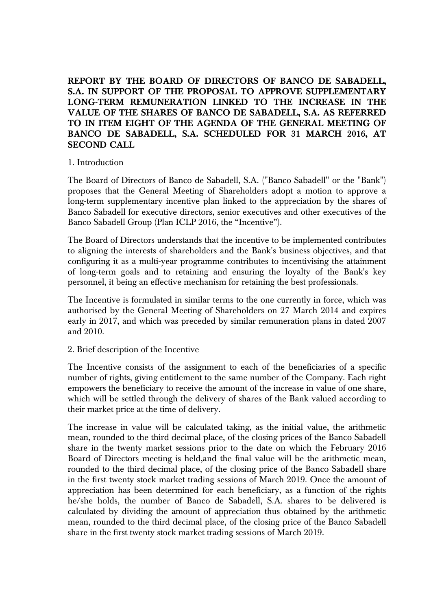**REPORT BY THE BOARD OF DIRECTORS OF BANCO DE SABADELL, S.A. IN SUPPORT OF THE PROPOSAL TO APPROVE SUPPLEMENTARY LONG-TERM REMUNERATION LINKED TO THE INCREASE IN THE VALUE OF THE SHARES OF BANCO DE SABADELL, S.A. AS REFERRED TO IN ITEM EIGHT OF THE AGENDA OF THE GENERAL MEETING OF BANCO DE SABADELL, S.A. SCHEDULED FOR 31 MARCH 2016, AT SECOND CALL** 

## 1. Introduction

The Board of Directors of Banco de Sabadell, S.A. ("Banco Sabadell" or the "Bank") proposes that the General Meeting of Shareholders adopt a motion to approve a long-term supplementary incentive plan linked to the appreciation by the shares of Banco Sabadell for executive directors, senior executives and other executives of the Banco Sabadell Group (Plan ICLP 2016, the "Incentive").

The Board of Directors understands that the incentive to be implemented contributes to aligning the interests of shareholders and the Bank's business objectives, and that configuring it as a multi-year programme contributes to incentivising the attainment of long-term goals and to retaining and ensuring the loyalty of the Bank's key personnel, it being an effective mechanism for retaining the best professionals.

The Incentive is formulated in similar terms to the one currently in force, which was authorised by the General Meeting of Shareholders on 27 March 2014 and expires early in 2017, and which was preceded by similar remuneration plans in dated 2007 and 2010.

## 2. Brief description of the Incentive

The Incentive consists of the assignment to each of the beneficiaries of a specific number of rights, giving entitlement to the same number of the Company. Each right empowers the beneficiary to receive the amount of the increase in value of one share, which will be settled through the delivery of shares of the Bank valued according to their market price at the time of delivery.

The increase in value will be calculated taking, as the initial value, the arithmetic mean, rounded to the third decimal place, of the closing prices of the Banco Sabadell share in the twenty market sessions prior to the date on which the February 2016 Board of Directors meeting is held,and the final value will be the arithmetic mean, rounded to the third decimal place, of the closing price of the Banco Sabadell share in the first twenty stock market trading sessions of March 2019. Once the amount of appreciation has been determined for each beneficiary, as a function of the rights he/she holds, the number of Banco de Sabadell, S.A. shares to be delivered is calculated by dividing the amount of appreciation thus obtained by the arithmetic mean, rounded to the third decimal place, of the closing price of the Banco Sabadell share in the first twenty stock market trading sessions of March 2019.